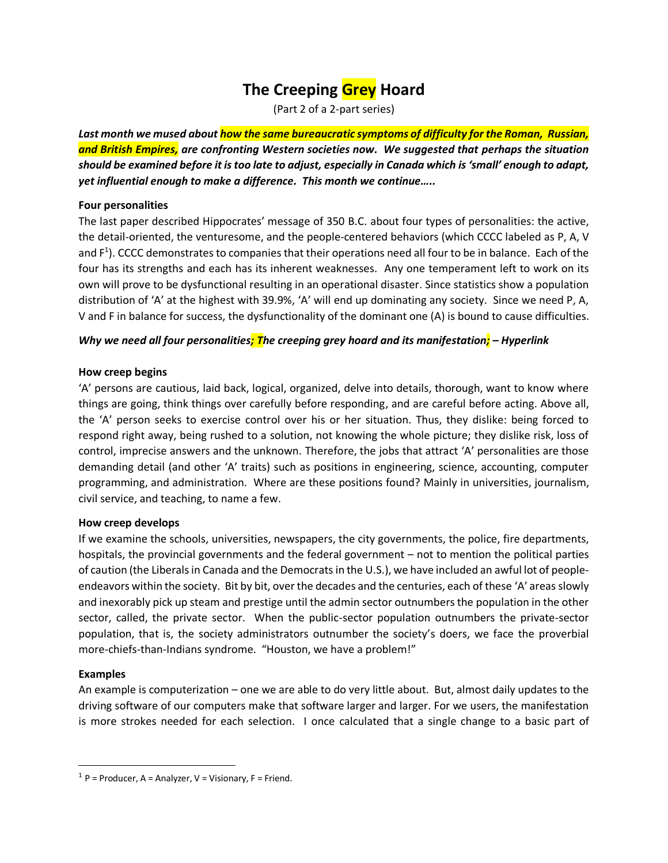# **The Creeping Grey Hoard**

(Part 2 of a 2-part series)

*Last month we mused about how the same bureaucratic symptoms of difficulty for the Roman, Russian, and British Empires, are confronting Western societies now. We suggested that perhaps the situation should be examined before it is too late to adjust, especially in Canada which is 'small' enough to adapt, yet influential enough to make a difference. This month we continue…..*

#### **Four personalities**

The last paper described Hippocrates' message of 350 B.C. about four types of personalities: the active, the detail-oriented, the venturesome, and the people-centered behaviors (which CCCC labeled as P, A, V and  $F^1$ ). CCCC demonstrates to companies that their operations need all four to be in balance. Each of the four has its strengths and each has its inherent weaknesses. Any one temperament left to work on its own will prove to be dysfunctional resulting in an operational disaster. Since statistics show a population distribution of 'A' at the highest with 39.9%, 'A' will end up dominating any society. Since we need P, A, V and F in balance for success, the dysfunctionality of the dominant one (A) is bound to cause difficulties.

## *Why we need all four personalities; The creeping grey hoard and its manifestation; – Hyperlink*

## **How creep begins**

'A' persons are cautious, laid back, logical, organized, delve into details, thorough, want to know where things are going, think things over carefully before responding, and are careful before acting. Above all, the 'A' person seeks to exercise control over his or her situation. Thus, they dislike: being forced to respond right away, being rushed to a solution, not knowing the whole picture; they dislike risk, loss of control, imprecise answers and the unknown. Therefore, the jobs that attract 'A' personalities are those demanding detail (and other 'A' traits) such as positions in engineering, science, accounting, computer programming, and administration. Where are these positions found? Mainly in universities, journalism, civil service, and teaching, to name a few.

#### **How creep develops**

If we examine the schools, universities, newspapers, the city governments, the police, fire departments, hospitals, the provincial governments and the federal government – not to mention the political parties of caution (the Liberals in Canada and the Democrats in the U.S.), we have included an awful lot of peopleendeavors within the society. Bit by bit, over the decades and the centuries, each of these 'A' areas slowly and inexorably pick up steam and prestige until the admin sector outnumbers the population in the other sector, called, the private sector. When the public-sector population outnumbers the private-sector population, that is, the society administrators outnumber the society's doers, we face the proverbial more-chiefs-than-Indians syndrome. "Houston, we have a problem!"

## **Examples**

 $\overline{\phantom{a}}$ 

An example is computerization – one we are able to do very little about. But, almost daily updates to the driving software of our computers make that software larger and larger. For we users, the manifestation is more strokes needed for each selection. I once calculated that a single change to a basic part of

 $1$  P = Producer, A = Analyzer, V = Visionary, F = Friend.